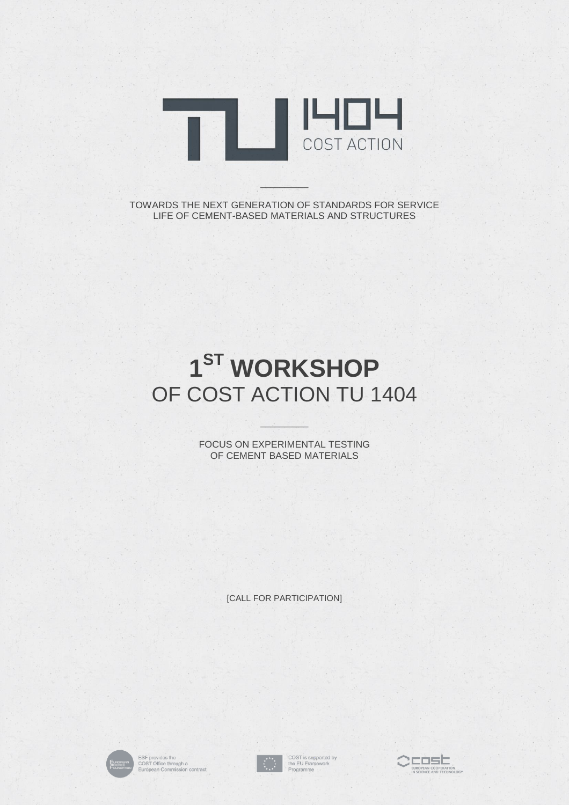

TOWARDS THE NEXT GENERATION OF STANDARDS FOR SERVICE LIFE OF CEMENT-BASED MATERIALS AND STRUCTURES

 $\sim$  . Will  $\alpha$  or

## **1 ST WORKSHOP** OF COST ACTION TU 1404

FOCUS ON EXPERIMENTAL TESTING OF CEMENT BASED MATERIALS

 $\frac{1}{2}$  ,  $\frac{1}{2}$  ,  $\frac{1}{2}$  ,  $\frac{1}{2}$ 

[CALL FOR PARTICIPATION]



ESF provides the<br>COST Office through a<br>European Commission contract



COST is supported by<br>the EU Framework<br>Programme

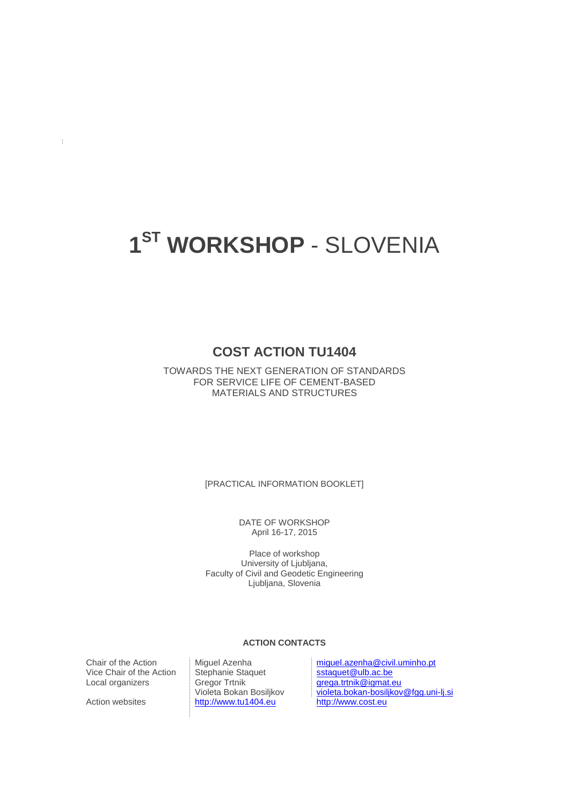## **1 ST WORKSHOP** - SLOVENIA

### **COST ACTION TU1404**

TOWARDS THE NEXT GENERATION OF STANDARDS FOR SERVICE LIFE OF CEMENT-BASED MATERIALS AND STRUCTURES

[PRACTICAL INFORMATION BOOKLET]

DATE OF WORKSHOP April 16-17, 2015

Place of workshop University of Ljubljana, Faculty of Civil and Geodetic Engineering Ljubljana, Slovenia

#### **ACTION CONTACTS**

Vice Chair of the Action Stephanie Sta<br>Local organizers Gregor Trtnik Local organizers

 $\pm$ 

Violeta Bokan Bosiljkov Action websites [http://www.tu1404.eu](http://www.tu1404.eu/)

Chair of the Action Miguel Azenha [miguel.azenha@civil.uminho.pt](mailto:miguel.azenha@civil.uminho.pt)<br>Vice Chair of the Action Stephanie Staquet states States States States States States States States States Number [grega.trtnik@igmat.eu](mailto:grega.trtnik@igmat.eu) [violeta.bokan-bosiljkov@fgg.uni-lj.si](mailto:violeta.bokan-bosiljkov@fgg.uni-lj.si)<br>http://www.cost.eu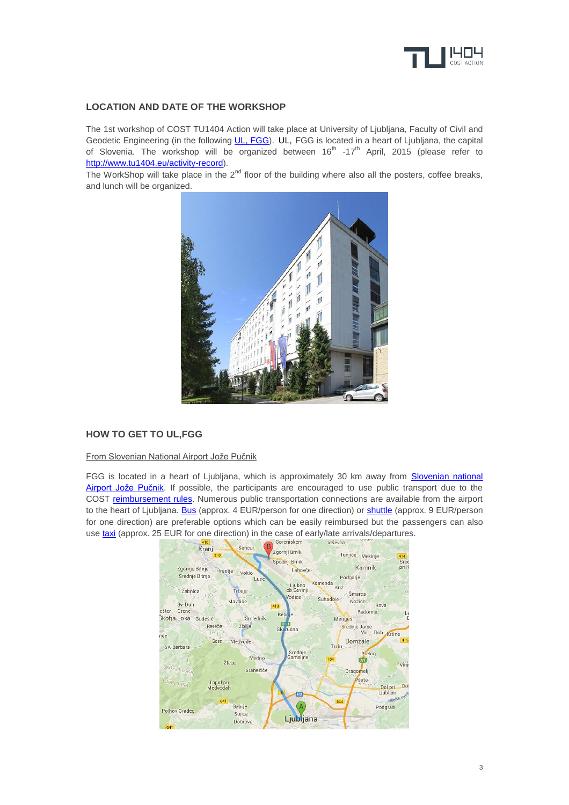

#### **LOCATION AND DATE OF THE WORKSHOP**

The 1st workshop of COST TU1404 Action will take place at University of Ljubljana, Faculty of Civil and Geodetic Engineering (in the following [UL, FGG\)](http://www3.fgg.uni-lj.si/en/). UL, FGG is located in a heart of Ljubljana, the capital of Slovenia. The workshop will be organized between 16<sup>th</sup> -17<sup>th</sup> April, 2015 (please refer to [http://www.tu1404.eu/activity-record\)](http://www.tu1404.eu/activity-record).

The WorkShop will take place in the  $2<sup>nd</sup>$  floor of the building where also all the posters, coffee breaks, and lunch will be organized.



#### **HOW TO GET TO UL,FGG**

#### From Slovenian National Airport Jože Pučnik

FGG is located in a heart of Ljubljana, which is approximately 30 km away from Slovenian national [Airport Jože Pučnik.](http://www.lju-airport.si/en/Main) If possible, the participants are encouraged to use public transport due to the COST [reimbursement rules.](http://www.cost.eu/service/faq/About-e-COST/How-do-I-file-a-travel-reimbursement-request-I-attended-a-COST-Action-meeting-and-was-asked-to-encode-my-expenses-related-to-travel-and-accommodation.-How-do-I-go-about-this) Numerous public transportation connections are available from the airport to the heart of Ljubljana[. Bus](http://www.lju-airport.si/en/passengers-and-visitors/getting-here/bus/) (approx. 4 EUR/person for one direction) or [shuttle](http://www.lju-airport.si/en/passengers-and-visitors/getting-here/shuttle/) (approx. 9 EUR/person for one direction) are preferable options which can be easily reimbursed but the passengers can also use [taxi](http://www.lju-airport.si/en/passengers-and-visitors/getting-here/taxi/) (approx. 25 EUR for one direction) in the case of early/late arrivals/departures.

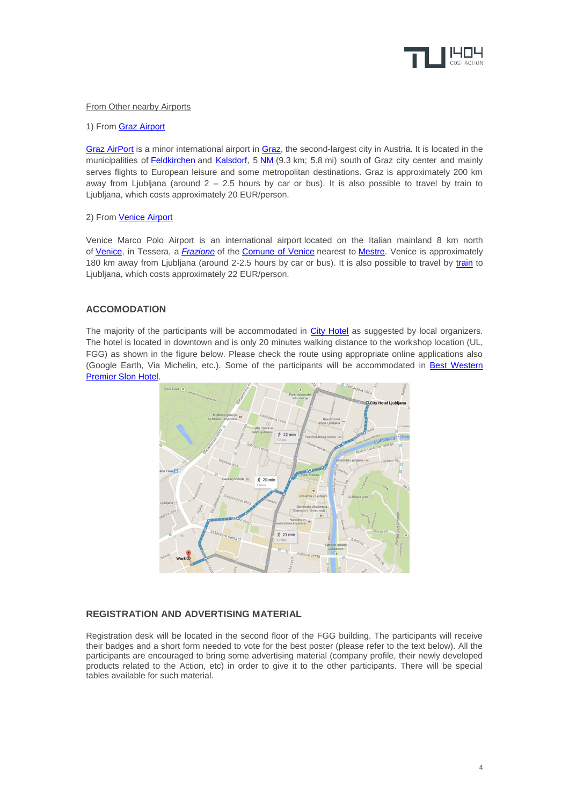

#### **From Other nearby Airports**

#### 1) From [Graz Airport](http://www.flughafen-graz.at/en/home.html)

[Graz AirPort](http://www.flughafen-graz.at/en/home.html) is a minor international airport in [Graz,](http://en.wikipedia.org/wiki/Graz) the second-largest city in Austria. It is located in the municipalities of [Feldkirchen](http://en.wikipedia.org/wiki/Feldkirchen_bei_Graz) and [Kalsdorf,](http://en.wikipedia.org/wiki/Kalsdorf_bei_Graz) 5 [NM](http://en.wikipedia.org/wiki/Nautical_mile) (9.3 km; 5.8 mi) south of Graz city center and mainly serves flights to European leisure and some metropolitan destinations. Graz is approximately 200 km away from Ljubljana (around  $2 - 2.5$  hours by car or bus). It is also possible to travel by train to Ljubljana, which costs approximately 20 EUR/person.

#### 2) From [Venice Airport](http://www.veniceairport.it/en/)

Venice Marco Polo Airport is an international airport located on the Italian mainland 8 km north of [Venice,](http://en.wikipedia.org/wiki/Venice) in Tessera, a *[Frazione](http://en.wikipedia.org/wiki/Frazione)* of the [Comune of Venice](http://en.wikipedia.org/wiki/Comune) nearest to [Mestre.](http://en.wikipedia.org/wiki/Mestre) Venice is approximately 180 km away from Ljubljana (around 2-2.5 hours by car or bus). It is also possible to travel by [train](http://www.seat61.com/venice-to-ljubljana-and-zagreb-by-train.htm#.VOMSdvnF_cg) to Ljubljana, which costs approximately 22 EUR/person.

#### **ACCOMODATION**

The majority of the participants will be accommodated in [City Hotel](http://www.cityhotel.si/cms/en/index.xhtml) as suggested by local organizers. The hotel is located in downtown and is only 20 minutes walking distance to the workshop location (UL, FGG) as shown in the figure below. Please check the route using appropriate online applications also (Google Earth, Via Michelin, etc.). Some of the participants will be accommodated in [Best Western](http://www.hotelslon.com/en/)  [Premier Slon Hotel.](http://www.hotelslon.com/en/)



#### **REGISTRATION AND ADVERTISING MATERIAL**

Registration desk will be located in the second floor of the FGG building. The participants will receive their badges and a short form needed to vote for the best poster (please refer to the text below). All the participants are encouraged to bring some advertising material (company profile, their newly developed products related to the Action, etc) in order to give it to the other participants. There will be special tables available for such material.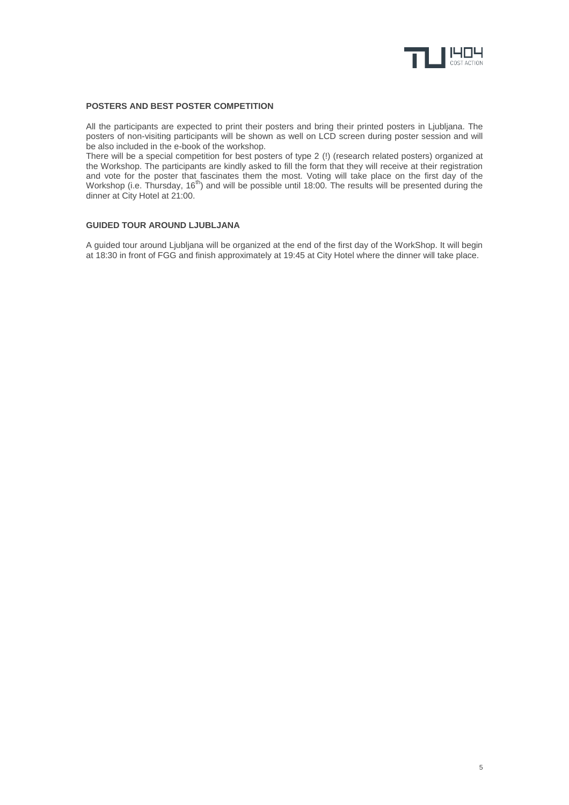

#### **POSTERS AND BEST POSTER COMPETITION**

All the participants are expected to print their posters and bring their printed posters in Ljubljana. The posters of non-visiting participants will be shown as well on LCD screen during poster session and will be also included in the e-book of the workshop.

There will be a special competition for best posters of type 2 (!) (research related posters) organized at the Workshop. The participants are kindly asked to fill the form that they will receive at their registration and vote for the poster that fascinates them the most. Voting will take place on the first day of the Workshop (i.e. Thursday, 16<sup>th</sup>) and will be possible until 18:00. The results will be presented during the dinner at City Hotel at 21:00.

#### **GUIDED TOUR AROUND LJUBLJANA**

A guided tour around Ljubljana will be organized at the end of the first day of the WorkShop. It will begin at 18:30 in front of FGG and finish approximately at 19:45 at City Hotel where the dinner will take place.